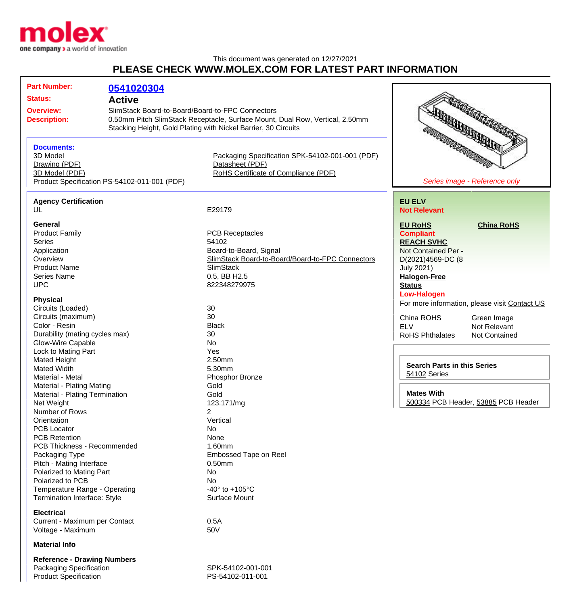

## This document was generated on 12/27/2021 **PLEASE CHECK WWW.MOLEX.COM FOR LATEST PART INFORMATION**

| <b>Part Number:</b>                          | 0541020304                                       |                                                                              |                                               |
|----------------------------------------------|--------------------------------------------------|------------------------------------------------------------------------------|-----------------------------------------------|
| <b>Status:</b>                               |                                                  |                                                                              |                                               |
|                                              | <b>Active</b>                                    |                                                                              |                                               |
| <b>Overview:</b>                             | SlimStack Board-to-Board/Board-to-FPC Connectors |                                                                              |                                               |
| <b>Description:</b>                          |                                                  | 0.50mm Pitch SlimStack Receptacle, Surface Mount, Dual Row, Vertical, 2.50mm |                                               |
|                                              |                                                  | Stacking Height, Gold Plating with Nickel Barrier, 30 Circuits               | <b>REGISTER CONTRACTORY</b>                   |
|                                              |                                                  |                                                                              | <b>REGIONAL DE CONSTANTINE</b>                |
| <b>Documents:</b>                            |                                                  |                                                                              |                                               |
| 3D Model                                     |                                                  | Packaging Specification SPK-54102-001-001 (PDF)                              |                                               |
| Drawing (PDF)                                |                                                  | Datasheet (PDF)                                                              |                                               |
| 3D Model (PDF)                               |                                                  | RoHS Certificate of Compliance (PDF)                                         |                                               |
| Product Specification PS-54102-011-001 (PDF) |                                                  |                                                                              | Series image - Reference only                 |
|                                              |                                                  |                                                                              |                                               |
| <b>Agency Certification</b><br>UL            |                                                  | E29179                                                                       | <b>EU ELV</b>                                 |
|                                              |                                                  |                                                                              | <b>Not Relevant</b>                           |
| <b>General</b>                               |                                                  |                                                                              | <b>EU RoHS</b><br><b>China RoHS</b>           |
| <b>Product Family</b>                        |                                                  | <b>PCB Receptacles</b>                                                       | <b>Compliant</b>                              |
| <b>Series</b>                                |                                                  | 54102                                                                        | <b>REACH SVHC</b>                             |
| Application                                  |                                                  | Board-to-Board, Signal                                                       | Not Contained Per -                           |
| Overview                                     |                                                  | SlimStack Board-to-Board/Board-to-FPC Connectors                             | D(2021)4569-DC (8                             |
| <b>Product Name</b>                          |                                                  | SlimStack                                                                    | <b>July 2021)</b>                             |
| <b>Series Name</b>                           |                                                  | 0.5, BB H2.5                                                                 | <b>Halogen-Free</b>                           |
| <b>UPC</b>                                   |                                                  | 822348279975                                                                 | <b>Status</b>                                 |
|                                              |                                                  |                                                                              | <b>Low-Halogen</b>                            |
| <b>Physical</b>                              |                                                  |                                                                              | For more information, please visit Contact US |
| Circuits (Loaded)                            |                                                  | 30                                                                           |                                               |
| Circuits (maximum)                           |                                                  | 30                                                                           | China ROHS<br>Green Image                     |
| Color - Resin                                |                                                  | <b>Black</b>                                                                 | <b>ELV</b><br>Not Relevant                    |
| Durability (mating cycles max)               |                                                  | 30                                                                           | <b>RoHS Phthalates</b><br>Not Contained       |
| Glow-Wire Capable                            |                                                  | <b>No</b>                                                                    |                                               |
| Lock to Mating Part                          |                                                  | Yes                                                                          |                                               |
| <b>Mated Height</b>                          |                                                  | 2.50mm<br>5.30mm                                                             | <b>Search Parts in this Series</b>            |
| <b>Mated Width</b><br>Material - Metal       |                                                  |                                                                              | 54102 Series                                  |
| Material - Plating Mating                    |                                                  | Phosphor Bronze<br>Gold                                                      |                                               |
| Material - Plating Termination               |                                                  | Gold                                                                         | <b>Mates With</b>                             |
| Net Weight                                   |                                                  | 123.171/mg                                                                   | 500334 PCB Header, 53885 PCB Header           |
| Number of Rows                               |                                                  | 2                                                                            |                                               |
| Orientation                                  |                                                  | Vertical                                                                     |                                               |
| <b>PCB Locator</b>                           |                                                  | No                                                                           |                                               |
| <b>PCB Retention</b>                         |                                                  | None                                                                         |                                               |
| PCB Thickness - Recommended                  |                                                  | 1.60mm                                                                       |                                               |
| Packaging Type                               |                                                  | <b>Embossed Tape on Reel</b>                                                 |                                               |
| Pitch - Mating Interface                     |                                                  | $0.50$ mm                                                                    |                                               |
| Polarized to Mating Part                     |                                                  | No                                                                           |                                               |
| Polarized to PCB                             |                                                  | No                                                                           |                                               |
| Temperature Range - Operating                |                                                  | -40 $\degree$ to +105 $\degree$ C                                            |                                               |
| Termination Interface: Style                 |                                                  | Surface Mount                                                                |                                               |
|                                              |                                                  |                                                                              |                                               |
| <b>Electrical</b>                            |                                                  |                                                                              |                                               |
| Current - Maximum per Contact                |                                                  | 0.5A                                                                         |                                               |
| Voltage - Maximum                            |                                                  | 50V                                                                          |                                               |
| <b>Material Info</b>                         |                                                  |                                                                              |                                               |

**Reference - Drawing Numbers** Packaging Specification SPK-54102-001-001 Product Specification PS-54102-011-001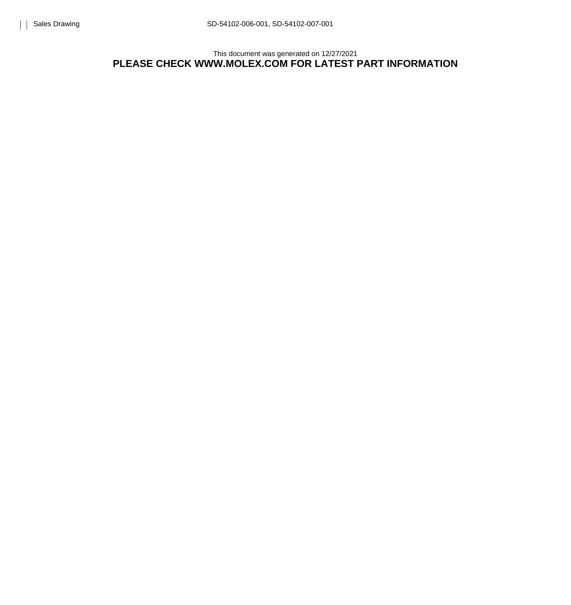This document was generated on 12/27/2021 **PLEASE CHECK WWW.MOLEX.COM FOR LATEST PART INFORMATION**